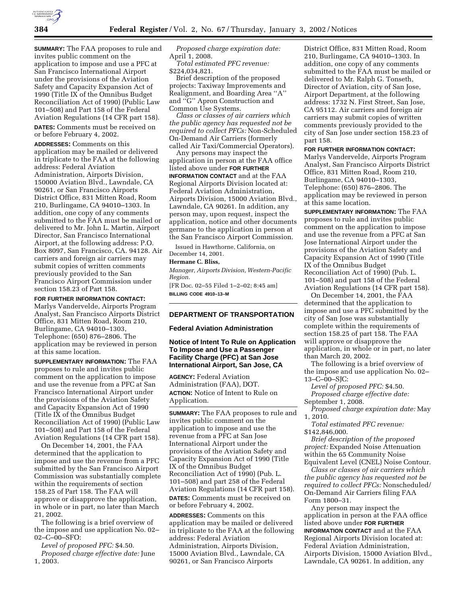

**SUMMARY:** The FAA proposes to rule and invites public comment on the application to impose and use a PFC at San Francisco International Airport under the provisions of the Aviation Safety and Capacity Expansion Act of 1990 (Title IX of the Omnibus Budget Reconciliation Act of 1990) (Public Law 101–508) and Part 158 of the Federal Aviation Regulations (14 CFR part 158).

**DATES:** Comments must be received on or before February 4, 2002.

**ADDRESSES:** Comments on this application may be mailed or delivered in triplicate to the FAA at the following address: Federal Aviation Administration, Airports Division, 150000 Aviation Blvd., Lawndale, CA 90261, or San Francisco Airports District Office, 831 Mitten Road, Room 210, Burlingame, CA 94010–1303. In addition, one copy of any comments submitted to the FAA must be mailed or delivered to Mr. John L. Martin, Airport Director, San Francisco International Airport, at the following address: P.O. Box 8097, San Francisco, CA. 94128. Air carriers and foreign air carriers may submit copies of written comments previously provided to the San Francisco Airport Commission under section 158.23 of Part 158.

**FOR FURTHER INFORMATION CONTACT:** Marlys Vandervelde, Airports Program Analyst, San Francisco Airports District Office, 831 Mitten Road, Room 210, Burlingame, CA 94010–1303, Telephone: (650) 876–2806. The application may be reviewed in person at this same location.

**SUPPLEMENTARY INFORMATION:** The FAA proposes to rule and invites public comment on the application to impose and use the revenue from a PFC at San Francisco International Airport under the provisions of the Aviation Safety and Capacity Expansion Act of 1990 (Title IX of the Omnibus Budget Reconciliation Act of 1990) (Public Law 101–508) and Part 158 of the Federal Aviation Regulations (14 CFR part 158).

On December 14, 2001, the FAA determined that the application to impose and use the revenue from a PFC submitted by the San Francisco Airport Commission was substantially complete within the requirements of section 158.25 of Part 158. The FAA will approve or disapprove the application, in whole or in part, no later than March 21, 2002.

The following is a brief overview of the impose and use application No. 02– 02–C–00–SFO:

*Level of proposed PFC:* \$4.50. *Proposed charge effective date:* June 1, 2003.

*Proposed charge expiration date:* April 1, 2008.

*Total estimated PFC revenue:* \$224,034,821.

Brief description of the proposed projects: Taxiway Improvements and Realignment, and Boarding Area ''A'' and ''G'' Apron Construction and Common Use Systems.

*Class or classes of air carriers which the public agency has requested not be required to collect PFCs:* Non-Scheduled On-Demand Air Carriers (formerly called Air Taxi/Commercial Operators).

Any persons may inspect the application in person at the FAA office listed above under **FOR FURTHER INFORMATION CONTACT** and at the FAA Regional Airports Division located at: Federal Aviation Administration, Airports Division, 15000 Aviation Blvd., Lawndale, CA 90261. In addition, any person may, upon request, inspect the application, notice and other documents germane to the application in person at the San Francisco Airport Commission.

Issued in Hawthorne, California, on December 14, 2001.

#### **Hermane C. Bliss,**

*Manager, Airports Division, Western-Pacific Region.*

[FR Doc. 02–55 Filed 1–2–02; 8:45 am] **BILLING CODE 4910–13–M**

# **DEPARTMENT OF TRANSPORTATION**

## **Federal Aviation Administration**

**Notice of Intent To Rule on Application To Impose and Use a Passenger Facility Charge (PFC) at San Jose International Airport, San Jose, CA**

**AGENCY:** Federal Aviation Administration (FAA), DOT. **ACTION:** Notice of Intent to Rule on Application.

**SUMMARY:** The FAA proposes to rule and invites public comment on the application to impose and use the revenue from a PFC at San Jose International Airport under the provisions of the Aviation Safety and Capacity Expansion Act of 1990 (Title IX of the Omnibus Budget Reconciliation Act of 1990) (Pub. L. 101–508) and part 258 of the Federal Aviation Regulations (14 CFR part 158). **DATES:** Comments must be received on or before February 4, 2002.

**ADDRESSES:** Comments on this application may be mailed or delivered in triplicate to the FAA at the following address: Federal Aviation Administration, Airports Division, 15000 Aviation Blvd., Lawndale, CA 90261, or San Francisco Airports

District Office, 831 Mitten Road, Room 210, Burlingame, CA 94010–1303. In addition, one copy of any comments submitted to the FAA must be mailed or delivered to Mr. Ralph G. Tonseth, Director of Aviation, city of San Jose, Airport Department, at the following address: 1732 N. First Street, San Jose, CA 95112. Air carriers and foreign air carriers may submit copies of written comments previously provided to the city of San Jose under section 158.23 of part 158.

**FOR FURTHER INFORMATION CONTACT:** Marlys Vandervelde, Airports Program Analyst, San Francisco Airports District Office, 831 Mitten Road, Room 210, Burlingame, CA 94010–1303, Telephone: (650) 876–2806. The application may be reviewed in person at this same location.

**SUPPLEMENTARY INFORMATION:** The FAA proposes to rule and invites public comment on the application to impose and use the revenue from a PFC at San Jose International Airport under the provisions of the Aviation Safety and Capacity Expansion Act of 1990 (Title IX of the Omnibus Budget Reconciliation Act of 1990) (Pub. L. 101–508) and part 158 of the Federal Aviation Regulations (14 CFR part 158).

On December 14, 2001, the FAA determined that the application to impose and use a PFC submitted by the city of San Jose was substantially complete within the requirements of section 158.25 of part 158. The FAA will approve or disapprove the application, in whole or in part, no later than March 20, 2002.

The following is a brief overview of the impose and use application No. 02– 13–C–00–SJC:

*Level of proposed PFC:* \$4.50. *Proposed charge effective date:* September 1, 2008.

*Proposed charge expiration date:* May 1, 2010.

*Total estimated PFC revenue:* \$142,846,000.

*Brief description of the proposed project:* Expanded Noise Attenuation within the 65 Community Noise Equivalent Level (CNEL) Noise Contour.

*Class or classes of air carriers which the public agency has requested not be required to collect PFCs:* Nonscheduled/ On-Demand Air Carriers filing FAA Form 1800–31.

Any person may inspect the application in person at the FAA office listed above under **FOR FURTHER INFORMATION CONTACT** and at the FAA Regional Airports Division located at: Federal Aviation Administration, Airports Division, 15000 Aviation Blvd., Lawndale, CA 90261. In addition, any